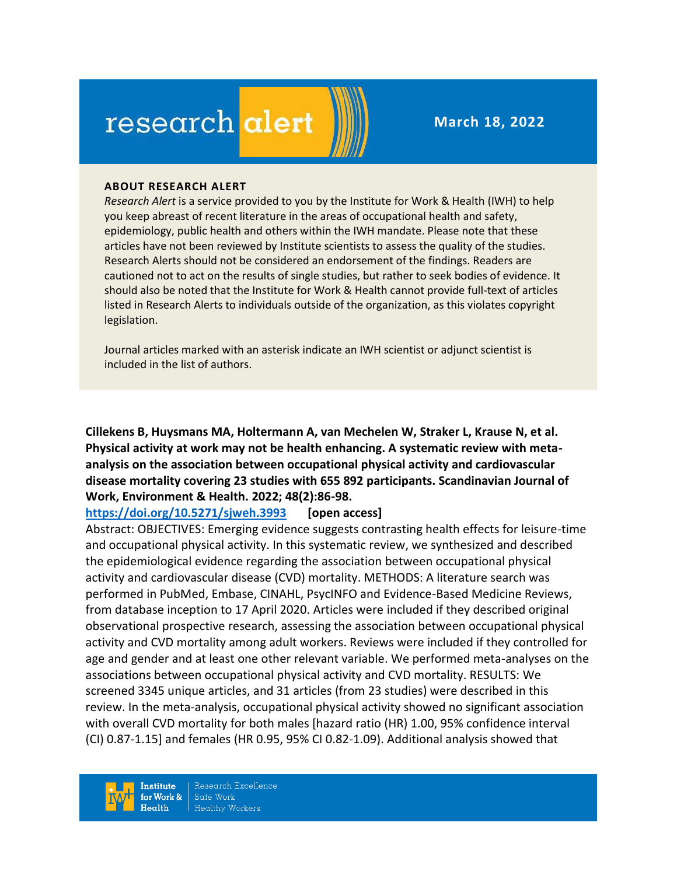# research alert

**March 18, 2022**

#### **ABOUT RESEARCH ALERT**

*Research Alert* is a service provided to you by the Institute for Work & Health (IWH) to help you keep abreast of recent literature in the areas of occupational health and safety, epidemiology, public health and others within the IWH mandate. Please note that these articles have not been reviewed by Institute scientists to assess the quality of the studies. Research Alerts should not be considered an endorsement of the findings. Readers are cautioned not to act on the results of single studies, but rather to seek bodies of evidence. It should also be noted that the Institute for Work & Health cannot provide full-text of articles listed in Research Alerts to individuals outside of the organization, as this violates copyright legislation.

Journal articles marked with an asterisk indicate an IWH scientist or adjunct scientist is included in the list of authors.

**Cillekens B, Huysmans MA, Holtermann A, van Mechelen W, Straker L, Krause N, et al. Physical activity at work may not be health enhancing. A systematic review with metaanalysis on the association between occupational physical activity and cardiovascular disease mortality covering 23 studies with 655 892 participants. Scandinavian Journal of Work, Environment & Health. 2022; 48(2):86-98.** 

#### **<https://doi.org/10.5271/sjweh.3993>[open access]**

Abstract: OBJECTIVES: Emerging evidence suggests contrasting health effects for leisure-time and occupational physical activity. In this systematic review, we synthesized and described the epidemiological evidence regarding the association between occupational physical activity and cardiovascular disease (CVD) mortality. METHODS: A literature search was performed in PubMed, Embase, CINAHL, PsycINFO and Evidence-Based Medicine Reviews, from database inception to 17 April 2020. Articles were included if they described original observational prospective research, assessing the association between occupational physical activity and CVD mortality among adult workers. Reviews were included if they controlled for age and gender and at least one other relevant variable. We performed meta-analyses on the associations between occupational physical activity and CVD mortality. RESULTS: We screened 3345 unique articles, and 31 articles (from 23 studies) were described in this review. In the meta-analysis, occupational physical activity showed no significant association with overall CVD mortality for both males [hazard ratio (HR) 1.00, 95% confidence interval (CI) 0.87-1.15] and females (HR 0.95, 95% CI 0.82-1.09). Additional analysis showed that

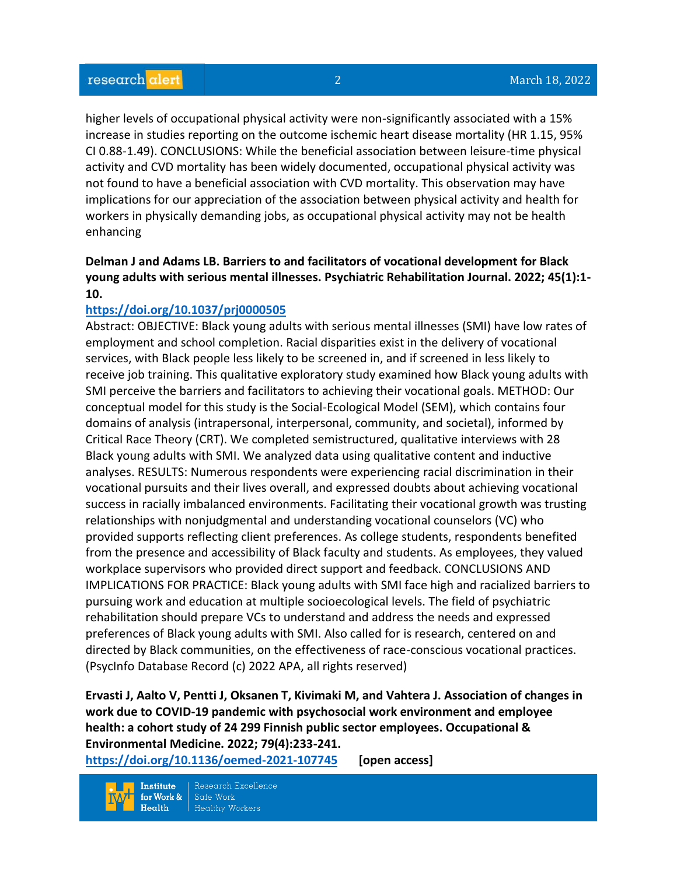higher levels of occupational physical activity were non-significantly associated with a 15% increase in studies reporting on the outcome ischemic heart disease mortality (HR 1.15, 95% CI 0.88-1.49). CONCLUSIONS: While the beneficial association between leisure-time physical activity and CVD mortality has been widely documented, occupational physical activity was not found to have a beneficial association with CVD mortality. This observation may have implications for our appreciation of the association between physical activity and health for workers in physically demanding jobs, as occupational physical activity may not be health enhancing

## **Delman J and Adams LB. Barriers to and facilitators of vocational development for Black young adults with serious mental illnesses. Psychiatric Rehabilitation Journal. 2022; 45(1):1- 10.**

#### **<https://doi.org/10.1037/prj0000505>**

Abstract: OBJECTIVE: Black young adults with serious mental illnesses (SMI) have low rates of employment and school completion. Racial disparities exist in the delivery of vocational services, with Black people less likely to be screened in, and if screened in less likely to receive job training. This qualitative exploratory study examined how Black young adults with SMI perceive the barriers and facilitators to achieving their vocational goals. METHOD: Our conceptual model for this study is the Social-Ecological Model (SEM), which contains four domains of analysis (intrapersonal, interpersonal, community, and societal), informed by Critical Race Theory (CRT). We completed semistructured, qualitative interviews with 28 Black young adults with SMI. We analyzed data using qualitative content and inductive analyses. RESULTS: Numerous respondents were experiencing racial discrimination in their vocational pursuits and their lives overall, and expressed doubts about achieving vocational success in racially imbalanced environments. Facilitating their vocational growth was trusting relationships with nonjudgmental and understanding vocational counselors (VC) who provided supports reflecting client preferences. As college students, respondents benefited from the presence and accessibility of Black faculty and students. As employees, they valued workplace supervisors who provided direct support and feedback. CONCLUSIONS AND IMPLICATIONS FOR PRACTICE: Black young adults with SMI face high and racialized barriers to pursuing work and education at multiple socioecological levels. The field of psychiatric rehabilitation should prepare VCs to understand and address the needs and expressed preferences of Black young adults with SMI. Also called for is research, centered on and directed by Black communities, on the effectiveness of race-conscious vocational practices. (PsycInfo Database Record (c) 2022 APA, all rights reserved)

**Ervasti J, Aalto V, Pentti J, Oksanen T, Kivimaki M, and Vahtera J. Association of changes in work due to COVID-19 pandemic with psychosocial work environment and employee health: a cohort study of 24 299 Finnish public sector employees. Occupational & Environmental Medicine. 2022; 79(4):233-241.** 

**<https://doi.org/10.1136/oemed-2021-107745>[open access]**

Research Excellence **Institute** Safe Work for Work &  $Health$ **Healthy Workers**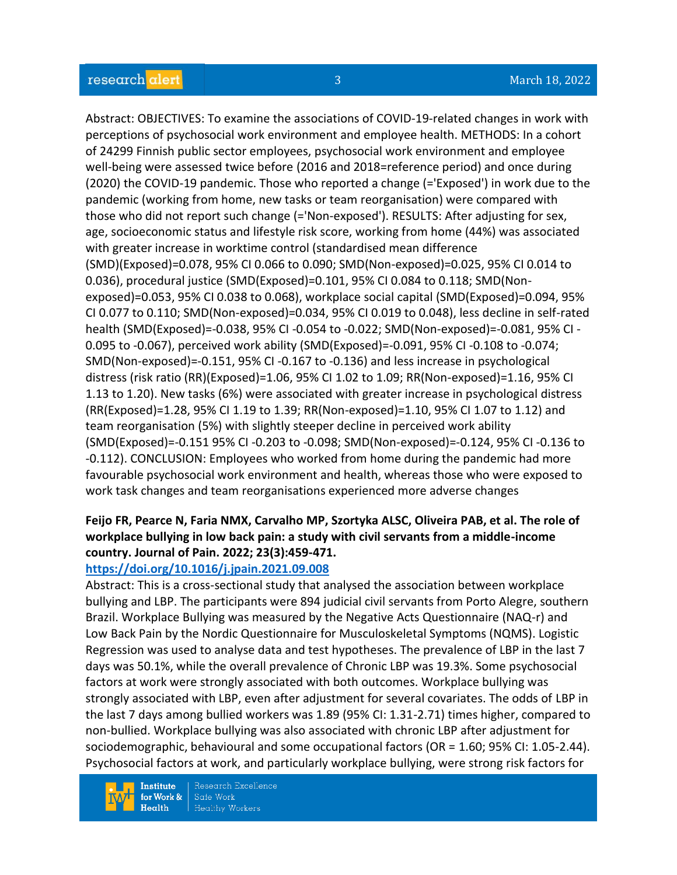Abstract: OBJECTIVES: To examine the associations of COVID-19-related changes in work with perceptions of psychosocial work environment and employee health. METHODS: In a cohort of 24299 Finnish public sector employees, psychosocial work environment and employee well-being were assessed twice before (2016 and 2018=reference period) and once during (2020) the COVID-19 pandemic. Those who reported a change (='Exposed') in work due to the pandemic (working from home, new tasks or team reorganisation) were compared with those who did not report such change (='Non-exposed'). RESULTS: After adjusting for sex, age, socioeconomic status and lifestyle risk score, working from home (44%) was associated with greater increase in worktime control (standardised mean difference (SMD)(Exposed)=0.078, 95% CI 0.066 to 0.090; SMD(Non-exposed)=0.025, 95% CI 0.014 to 0.036), procedural justice (SMD(Exposed)=0.101, 95% CI 0.084 to 0.118; SMD(Nonexposed)=0.053, 95% CI 0.038 to 0.068), workplace social capital (SMD(Exposed)=0.094, 95% CI 0.077 to 0.110; SMD(Non-exposed)=0.034, 95% CI 0.019 to 0.048), less decline in self-rated health (SMD(Exposed)=-0.038, 95% CI -0.054 to -0.022; SMD(Non-exposed)=-0.081, 95% CI - 0.095 to -0.067), perceived work ability (SMD(Exposed)=-0.091, 95% CI -0.108 to -0.074; SMD(Non-exposed)=-0.151, 95% CI -0.167 to -0.136) and less increase in psychological distress (risk ratio (RR)(Exposed)=1.06, 95% CI 1.02 to 1.09; RR(Non-exposed)=1.16, 95% CI 1.13 to 1.20). New tasks (6%) were associated with greater increase in psychological distress (RR(Exposed)=1.28, 95% CI 1.19 to 1.39; RR(Non-exposed)=1.10, 95% CI 1.07 to 1.12) and team reorganisation (5%) with slightly steeper decline in perceived work ability (SMD(Exposed)=-0.151 95% CI -0.203 to -0.098; SMD(Non-exposed)=-0.124, 95% CI -0.136 to -0.112). CONCLUSION: Employees who worked from home during the pandemic had more favourable psychosocial work environment and health, whereas those who were exposed to work task changes and team reorganisations experienced more adverse changes

## **Feijo FR, Pearce N, Faria NMX, Carvalho MP, Szortyka ALSC, Oliveira PAB, et al. The role of workplace bullying in low back pain: a study with civil servants from a middle-income country. Journal of Pain. 2022; 23(3):459-471.**

## **<https://doi.org/10.1016/j.jpain.2021.09.008>**

Abstract: This is a cross-sectional study that analysed the association between workplace bullying and LBP. The participants were 894 judicial civil servants from Porto Alegre, southern Brazil. Workplace Bullying was measured by the Negative Acts Questionnaire (NAQ-r) and Low Back Pain by the Nordic Questionnaire for Musculoskeletal Symptoms (NQMS). Logistic Regression was used to analyse data and test hypotheses. The prevalence of LBP in the last 7 days was 50.1%, while the overall prevalence of Chronic LBP was 19.3%. Some psychosocial factors at work were strongly associated with both outcomes. Workplace bullying was strongly associated with LBP, even after adjustment for several covariates. The odds of LBP in the last 7 days among bullied workers was 1.89 (95% CI: 1.31-2.71) times higher, compared to non-bullied. Workplace bullying was also associated with chronic LBP after adjustment for sociodemographic, behavioural and some occupational factors (OR = 1.60; 95% CI: 1.05-2.44). Psychosocial factors at work, and particularly workplace bullying, were strong risk factors for

**Institute** for Work &  $Health$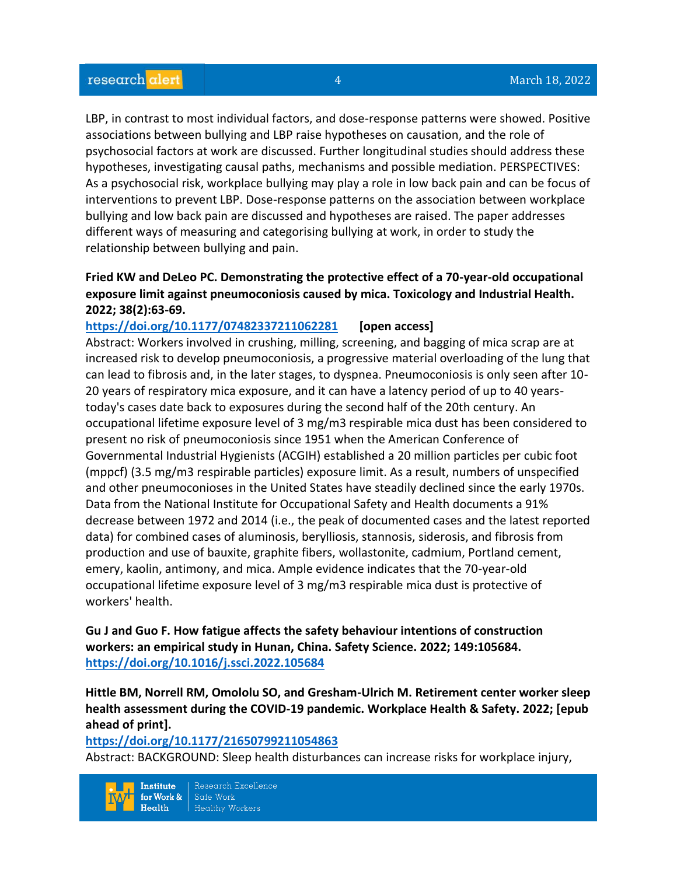LBP, in contrast to most individual factors, and dose-response patterns were showed. Positive associations between bullying and LBP raise hypotheses on causation, and the role of psychosocial factors at work are discussed. Further longitudinal studies should address these hypotheses, investigating causal paths, mechanisms and possible mediation. PERSPECTIVES: As a psychosocial risk, workplace bullying may play a role in low back pain and can be focus of interventions to prevent LBP. Dose-response patterns on the association between workplace bullying and low back pain are discussed and hypotheses are raised. The paper addresses different ways of measuring and categorising bullying at work, in order to study the relationship between bullying and pain.

## **Fried KW and DeLeo PC. Demonstrating the protective effect of a 70-year-old occupational exposure limit against pneumoconiosis caused by mica. Toxicology and Industrial Health. 2022; 38(2):63-69.**

# **<https://doi.org/10.1177/07482337211062281>[open access]** Abstract: Workers involved in crushing, milling, screening, and bagging of mica scrap are at increased risk to develop pneumoconiosis, a progressive material overloading of the lung that can lead to fibrosis and, in the later stages, to dyspnea. Pneumoconiosis is only seen after 10- 20 years of respiratory mica exposure, and it can have a latency period of up to 40 yearstoday's cases date back to exposures during the second half of the 20th century. An occupational lifetime exposure level of 3 mg/m3 respirable mica dust has been considered to present no risk of pneumoconiosis since 1951 when the American Conference of Governmental Industrial Hygienists (ACGIH) established a 20 million particles per cubic foot (mppcf) (3.5 mg/m3 respirable particles) exposure limit. As a result, numbers of unspecified and other pneumoconioses in the United States have steadily declined since the early 1970s. Data from the National Institute for Occupational Safety and Health documents a 91% decrease between 1972 and 2014 (i.e., the peak of documented cases and the latest reported data) for combined cases of aluminosis, berylliosis, stannosis, siderosis, and fibrosis from production and use of bauxite, graphite fibers, wollastonite, cadmium, Portland cement, emery, kaolin, antimony, and mica. Ample evidence indicates that the 70-year-old occupational lifetime exposure level of 3 mg/m3 respirable mica dust is protective of workers' health.

**Gu J and Guo F. How fatigue affects the safety behaviour intentions of construction workers: an empirical study in Hunan, China. Safety Science. 2022; 149:105684. <https://doi.org/10.1016/j.ssci.2022.105684>** 

**Hittle BM, Norrell RM, Omololu SO, and Gresham-Ulrich M. Retirement center worker sleep health assessment during the COVID-19 pandemic. Workplace Health & Safety. 2022; [epub ahead of print].**

#### **<https://doi.org/10.1177/21650799211054863>**

Abstract: BACKGROUND: Sleep health disturbances can increase risks for workplace injury,

Institute Research Excellence Safe Work for Work &  $Heath$ **Healthy Workers**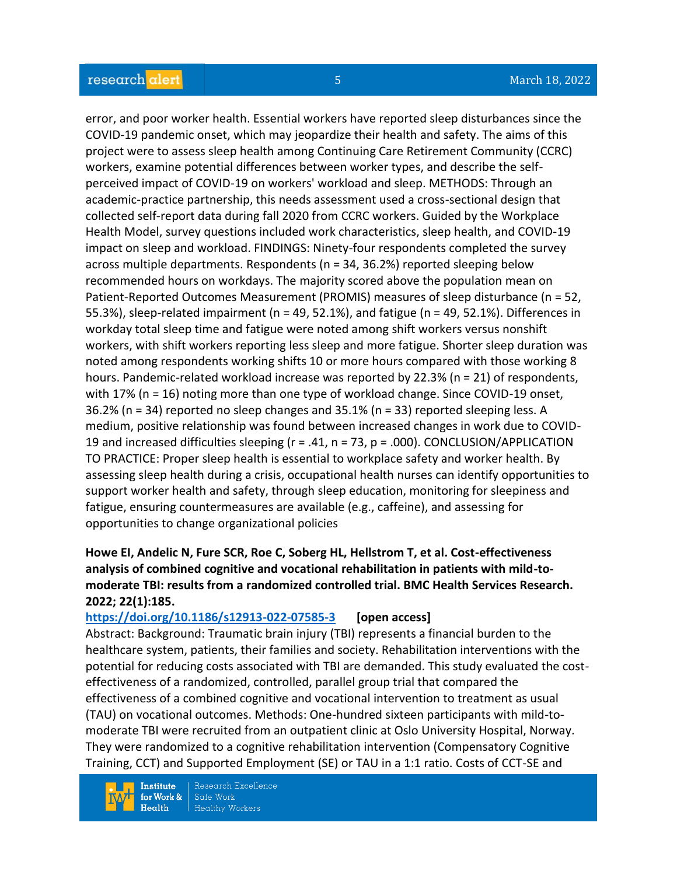## research alert

error, and poor worker health. Essential workers have reported sleep disturbances since the COVID-19 pandemic onset, which may jeopardize their health and safety. The aims of this project were to assess sleep health among Continuing Care Retirement Community (CCRC) workers, examine potential differences between worker types, and describe the selfperceived impact of COVID-19 on workers' workload and sleep. METHODS: Through an academic-practice partnership, this needs assessment used a cross-sectional design that collected self-report data during fall 2020 from CCRC workers. Guided by the Workplace Health Model, survey questions included work characteristics, sleep health, and COVID-19 impact on sleep and workload. FINDINGS: Ninety-four respondents completed the survey across multiple departments. Respondents (n = 34, 36.2%) reported sleeping below recommended hours on workdays. The majority scored above the population mean on Patient-Reported Outcomes Measurement (PROMIS) measures of sleep disturbance (n = 52, 55.3%), sleep-related impairment (n = 49, 52.1%), and fatigue (n = 49, 52.1%). Differences in workday total sleep time and fatigue were noted among shift workers versus nonshift workers, with shift workers reporting less sleep and more fatigue. Shorter sleep duration was noted among respondents working shifts 10 or more hours compared with those working 8 hours. Pandemic-related workload increase was reported by 22.3% (n = 21) of respondents, with 17% (n = 16) noting more than one type of workload change. Since COVID-19 onset, 36.2% (n = 34) reported no sleep changes and 35.1% (n = 33) reported sleeping less. A medium, positive relationship was found between increased changes in work due to COVID-19 and increased difficulties sleeping (r = .41, n = 73, p = .000). CONCLUSION/APPLICATION TO PRACTICE: Proper sleep health is essential to workplace safety and worker health. By assessing sleep health during a crisis, occupational health nurses can identify opportunities to support worker health and safety, through sleep education, monitoring for sleepiness and fatigue, ensuring countermeasures are available (e.g., caffeine), and assessing for opportunities to change organizational policies

## **Howe EI, Andelic N, Fure SCR, Roe C, Soberg HL, Hellstrom T, et al. Cost-effectiveness analysis of combined cognitive and vocational rehabilitation in patients with mild-tomoderate TBI: results from a randomized controlled trial. BMC Health Services Research. 2022; 22(1):185.**

#### **<https://doi.org/10.1186/s12913-022-07585-3>[open access]**

Abstract: Background: Traumatic brain injury (TBI) represents a financial burden to the healthcare system, patients, their families and society. Rehabilitation interventions with the potential for reducing costs associated with TBI are demanded. This study evaluated the costeffectiveness of a randomized, controlled, parallel group trial that compared the effectiveness of a combined cognitive and vocational intervention to treatment as usual (TAU) on vocational outcomes. Methods: One-hundred sixteen participants with mild-tomoderate TBI were recruited from an outpatient clinic at Oslo University Hospital, Norway. They were randomized to a cognitive rehabilitation intervention (Compensatory Cognitive Training, CCT) and Supported Employment (SE) or TAU in a 1:1 ratio. Costs of CCT-SE and

**Institute** for Work &  $Health$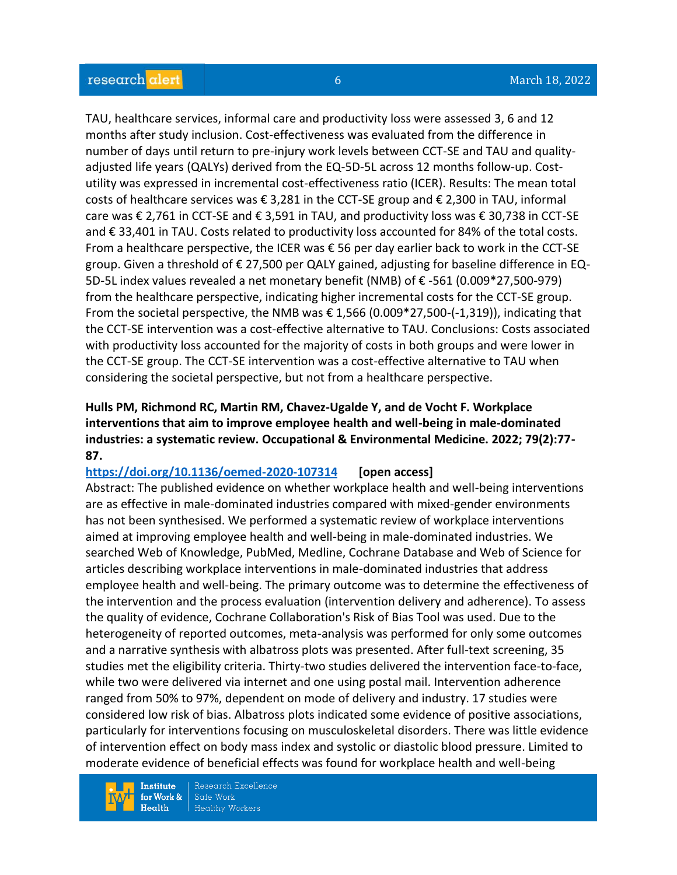TAU, healthcare services, informal care and productivity loss were assessed 3, 6 and 12 months after study inclusion. Cost-effectiveness was evaluated from the difference in number of days until return to pre-injury work levels between CCT-SE and TAU and qualityadjusted life years (QALYs) derived from the EQ-5D-5L across 12 months follow-up. Costutility was expressed in incremental cost-effectiveness ratio (ICER). Results: The mean total costs of healthcare services was € 3,281 in the CCT-SE group and € 2,300 in TAU, informal care was € 2,761 in CCT-SE and € 3,591 in TAU, and productivity loss was € 30,738 in CCT-SE and € 33,401 in TAU. Costs related to productivity loss accounted for 84% of the total costs. From a healthcare perspective, the ICER was  $\epsilon$  56 per day earlier back to work in the CCT-SE group. Given a threshold of € 27,500 per QALY gained, adjusting for baseline difference in EQ-5D-5L index values revealed a net monetary benefit (NMB) of € -561 (0.009\*27,500-979) from the healthcare perspective, indicating higher incremental costs for the CCT-SE group. From the societal perspective, the NMB was  $\epsilon$  1,566 (0.009\*27,500-(-1,319)), indicating that the CCT-SE intervention was a cost-effective alternative to TAU. Conclusions: Costs associated with productivity loss accounted for the majority of costs in both groups and were lower in the CCT-SE group. The CCT-SE intervention was a cost-effective alternative to TAU when considering the societal perspective, but not from a healthcare perspective.

## **Hulls PM, Richmond RC, Martin RM, Chavez-Ugalde Y, and de Vocht F. Workplace interventions that aim to improve employee health and well-being in male-dominated industries: a systematic review. Occupational & Environmental Medicine. 2022; 79(2):77- 87.**

#### **<https://doi.org/10.1136/oemed-2020-107314>[open access]**

Abstract: The published evidence on whether workplace health and well-being interventions are as effective in male-dominated industries compared with mixed-gender environments has not been synthesised. We performed a systematic review of workplace interventions aimed at improving employee health and well-being in male-dominated industries. We searched Web of Knowledge, PubMed, Medline, Cochrane Database and Web of Science for articles describing workplace interventions in male-dominated industries that address employee health and well-being. The primary outcome was to determine the effectiveness of the intervention and the process evaluation (intervention delivery and adherence). To assess the quality of evidence, Cochrane Collaboration's Risk of Bias Tool was used. Due to the heterogeneity of reported outcomes, meta-analysis was performed for only some outcomes and a narrative synthesis with albatross plots was presented. After full-text screening, 35 studies met the eligibility criteria. Thirty-two studies delivered the intervention face-to-face, while two were delivered via internet and one using postal mail. Intervention adherence ranged from 50% to 97%, dependent on mode of delivery and industry. 17 studies were considered low risk of bias. Albatross plots indicated some evidence of positive associations, particularly for interventions focusing on musculoskeletal disorders. There was little evidence of intervention effect on body mass index and systolic or diastolic blood pressure. Limited to moderate evidence of beneficial effects was found for workplace health and well-being

**Institute** for Work &  $Health$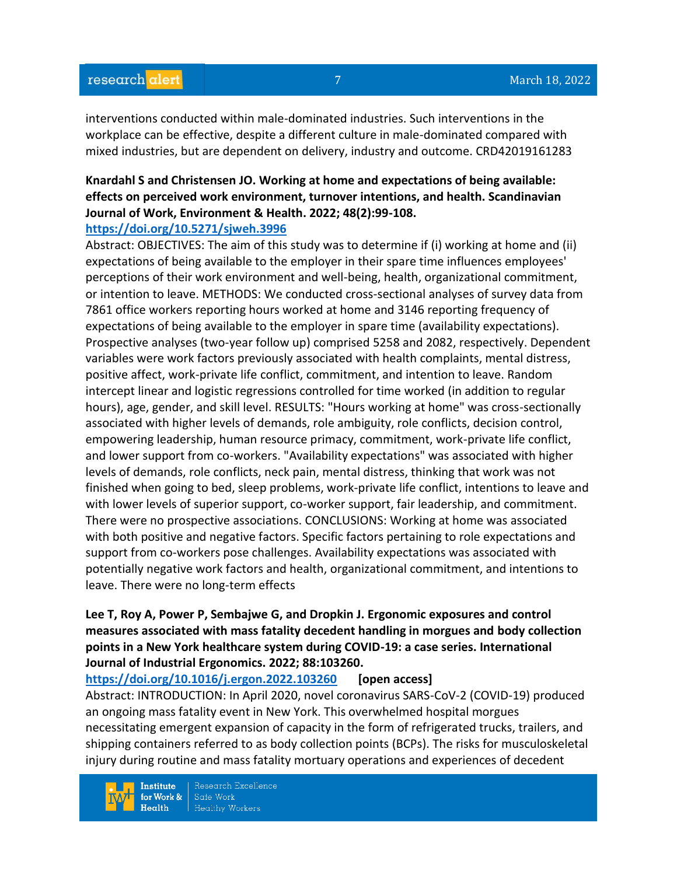interventions conducted within male-dominated industries. Such interventions in the workplace can be effective, despite a different culture in male-dominated compared with mixed industries, but are dependent on delivery, industry and outcome. CRD42019161283

# **Knardahl S and Christensen JO. Working at home and expectations of being available: effects on perceived work environment, turnover intentions, and health. Scandinavian Journal of Work, Environment & Health. 2022; 48(2):99-108.**

#### **<https://doi.org/10.5271/sjweh.3996>**

Abstract: OBJECTIVES: The aim of this study was to determine if (i) working at home and (ii) expectations of being available to the employer in their spare time influences employees' perceptions of their work environment and well-being, health, organizational commitment, or intention to leave. METHODS: We conducted cross-sectional analyses of survey data from 7861 office workers reporting hours worked at home and 3146 reporting frequency of expectations of being available to the employer in spare time (availability expectations). Prospective analyses (two-year follow up) comprised 5258 and 2082, respectively. Dependent variables were work factors previously associated with health complaints, mental distress, positive affect, work-private life conflict, commitment, and intention to leave. Random intercept linear and logistic regressions controlled for time worked (in addition to regular hours), age, gender, and skill level. RESULTS: "Hours working at home" was cross-sectionally associated with higher levels of demands, role ambiguity, role conflicts, decision control, empowering leadership, human resource primacy, commitment, work-private life conflict, and lower support from co-workers. "Availability expectations" was associated with higher levels of demands, role conflicts, neck pain, mental distress, thinking that work was not finished when going to bed, sleep problems, work-private life conflict, intentions to leave and with lower levels of superior support, co-worker support, fair leadership, and commitment. There were no prospective associations. CONCLUSIONS: Working at home was associated with both positive and negative factors. Specific factors pertaining to role expectations and support from co-workers pose challenges. Availability expectations was associated with potentially negative work factors and health, organizational commitment, and intentions to leave. There were no long-term effects

## **Lee T, Roy A, Power P, Sembajwe G, and Dropkin J. Ergonomic exposures and control measures associated with mass fatality decedent handling in morgues and body collection points in a New York healthcare system during COVID-19: a case series. International Journal of Industrial Ergonomics. 2022; 88:103260.**

#### **<https://doi.org/10.1016/j.ergon.2022.103260>[open access]**

Abstract: INTRODUCTION: In April 2020, novel coronavirus SARS-CoV-2 (COVID-19) produced an ongoing mass fatality event in New York. This overwhelmed hospital morgues necessitating emergent expansion of capacity in the form of refrigerated trucks, trailers, and shipping containers referred to as body collection points (BCPs). The risks for musculoskeletal injury during routine and mass fatality mortuary operations and experiences of decedent

**Institute** for Work &  $Health$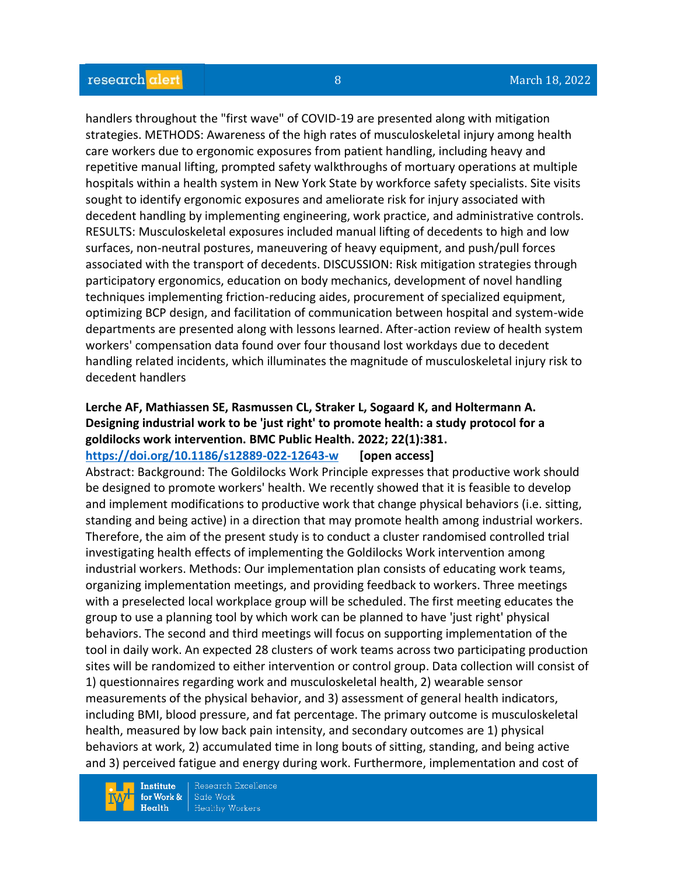handlers throughout the "first wave" of COVID-19 are presented along with mitigation strategies. METHODS: Awareness of the high rates of musculoskeletal injury among health care workers due to ergonomic exposures from patient handling, including heavy and repetitive manual lifting, prompted safety walkthroughs of mortuary operations at multiple hospitals within a health system in New York State by workforce safety specialists. Site visits sought to identify ergonomic exposures and ameliorate risk for injury associated with decedent handling by implementing engineering, work practice, and administrative controls. RESULTS: Musculoskeletal exposures included manual lifting of decedents to high and low surfaces, non-neutral postures, maneuvering of heavy equipment, and push/pull forces associated with the transport of decedents. DISCUSSION: Risk mitigation strategies through participatory ergonomics, education on body mechanics, development of novel handling techniques implementing friction-reducing aides, procurement of specialized equipment, optimizing BCP design, and facilitation of communication between hospital and system-wide departments are presented along with lessons learned. After-action review of health system workers' compensation data found over four thousand lost workdays due to decedent handling related incidents, which illuminates the magnitude of musculoskeletal injury risk to decedent handlers

# **Lerche AF, Mathiassen SE, Rasmussen CL, Straker L, Sogaard K, and Holtermann A. Designing industrial work to be 'just right' to promote health: a study protocol for a goldilocks work intervention. BMC Public Health. 2022; 22(1):381.**

**<https://doi.org/10.1186/s12889-022-12643-w>[open access]**

Abstract: Background: The Goldilocks Work Principle expresses that productive work should be designed to promote workers' health. We recently showed that it is feasible to develop and implement modifications to productive work that change physical behaviors (i.e. sitting, standing and being active) in a direction that may promote health among industrial workers. Therefore, the aim of the present study is to conduct a cluster randomised controlled trial investigating health effects of implementing the Goldilocks Work intervention among industrial workers. Methods: Our implementation plan consists of educating work teams, organizing implementation meetings, and providing feedback to workers. Three meetings with a preselected local workplace group will be scheduled. The first meeting educates the group to use a planning tool by which work can be planned to have 'just right' physical behaviors. The second and third meetings will focus on supporting implementation of the tool in daily work. An expected 28 clusters of work teams across two participating production sites will be randomized to either intervention or control group. Data collection will consist of 1) questionnaires regarding work and musculoskeletal health, 2) wearable sensor measurements of the physical behavior, and 3) assessment of general health indicators, including BMI, blood pressure, and fat percentage. The primary outcome is musculoskeletal health, measured by low back pain intensity, and secondary outcomes are 1) physical behaviors at work, 2) accumulated time in long bouts of sitting, standing, and being active and 3) perceived fatigue and energy during work. Furthermore, implementation and cost of

**Institute** for Work &  $Health$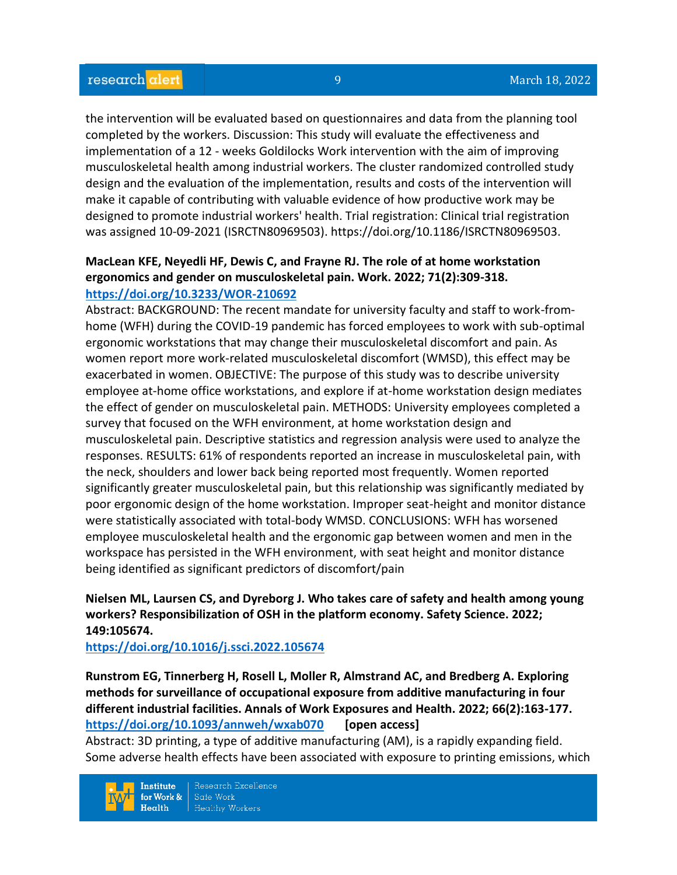the intervention will be evaluated based on questionnaires and data from the planning tool completed by the workers. Discussion: This study will evaluate the effectiveness and implementation of a 12 - weeks Goldilocks Work intervention with the aim of improving musculoskeletal health among industrial workers. The cluster randomized controlled study design and the evaluation of the implementation, results and costs of the intervention will make it capable of contributing with valuable evidence of how productive work may be designed to promote industrial workers' health. Trial registration: Clinical trial registration was assigned 10-09-2021 (ISRCTN80969503). https://doi.org/10.1186/ISRCTN80969503.

## **MacLean KFE, Neyedli HF, Dewis C, and Frayne RJ. The role of at home workstation ergonomics and gender on musculoskeletal pain. Work. 2022; 71(2):309-318. <https://doi.org/10.3233/WOR-210692>**

Abstract: BACKGROUND: The recent mandate for university faculty and staff to work-fromhome (WFH) during the COVID-19 pandemic has forced employees to work with sub-optimal ergonomic workstations that may change their musculoskeletal discomfort and pain. As women report more work-related musculoskeletal discomfort (WMSD), this effect may be exacerbated in women. OBJECTIVE: The purpose of this study was to describe university employee at-home office workstations, and explore if at-home workstation design mediates the effect of gender on musculoskeletal pain. METHODS: University employees completed a survey that focused on the WFH environment, at home workstation design and musculoskeletal pain. Descriptive statistics and regression analysis were used to analyze the responses. RESULTS: 61% of respondents reported an increase in musculoskeletal pain, with the neck, shoulders and lower back being reported most frequently. Women reported significantly greater musculoskeletal pain, but this relationship was significantly mediated by poor ergonomic design of the home workstation. Improper seat-height and monitor distance were statistically associated with total-body WMSD. CONCLUSIONS: WFH has worsened employee musculoskeletal health and the ergonomic gap between women and men in the workspace has persisted in the WFH environment, with seat height and monitor distance being identified as significant predictors of discomfort/pain

## **Nielsen ML, Laursen CS, and Dyreborg J. Who takes care of safety and health among young workers? Responsibilization of OSH in the platform economy. Safety Science. 2022; 149:105674.**

**<https://doi.org/10.1016/j.ssci.2022.105674>**

**Runstrom EG, Tinnerberg H, Rosell L, Moller R, Almstrand AC, and Bredberg A. Exploring methods for surveillance of occupational exposure from additive manufacturing in four different industrial facilities. Annals of Work Exposures and Health. 2022; 66(2):163-177. <https://doi.org/10.1093/annweh/wxab070>[open access]**

Abstract: 3D printing, a type of additive manufacturing (AM), is a rapidly expanding field. Some adverse health effects have been associated with exposure to printing emissions, which

**Institute** for Work &  $Heath$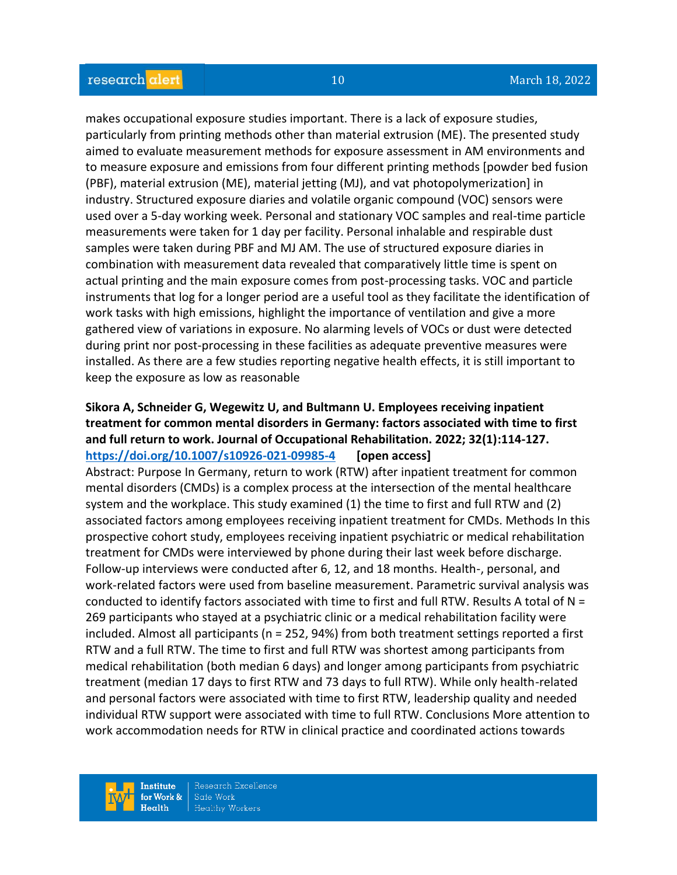makes occupational exposure studies important. There is a lack of exposure studies, particularly from printing methods other than material extrusion (ME). The presented study aimed to evaluate measurement methods for exposure assessment in AM environments and to measure exposure and emissions from four different printing methods [powder bed fusion (PBF), material extrusion (ME), material jetting (MJ), and vat photopolymerization] in industry. Structured exposure diaries and volatile organic compound (VOC) sensors were used over a 5-day working week. Personal and stationary VOC samples and real-time particle measurements were taken for 1 day per facility. Personal inhalable and respirable dust samples were taken during PBF and MJ AM. The use of structured exposure diaries in combination with measurement data revealed that comparatively little time is spent on actual printing and the main exposure comes from post-processing tasks. VOC and particle instruments that log for a longer period are a useful tool as they facilitate the identification of work tasks with high emissions, highlight the importance of ventilation and give a more gathered view of variations in exposure. No alarming levels of VOCs or dust were detected during print nor post-processing in these facilities as adequate preventive measures were installed. As there are a few studies reporting negative health effects, it is still important to keep the exposure as low as reasonable

## **Sikora A, Schneider G, Wegewitz U, and Bultmann U. Employees receiving inpatient treatment for common mental disorders in Germany: factors associated with time to first and full return to work. Journal of Occupational Rehabilitation. 2022; 32(1):114-127. <https://doi.org/10.1007/s10926-021-09985-4>[open access]**

Abstract: Purpose In Germany, return to work (RTW) after inpatient treatment for common mental disorders (CMDs) is a complex process at the intersection of the mental healthcare system and the workplace. This study examined (1) the time to first and full RTW and (2) associated factors among employees receiving inpatient treatment for CMDs. Methods In this prospective cohort study, employees receiving inpatient psychiatric or medical rehabilitation treatment for CMDs were interviewed by phone during their last week before discharge. Follow-up interviews were conducted after 6, 12, and 18 months. Health-, personal, and work-related factors were used from baseline measurement. Parametric survival analysis was conducted to identify factors associated with time to first and full RTW. Results A total of N = 269 participants who stayed at a psychiatric clinic or a medical rehabilitation facility were included. Almost all participants (n = 252, 94%) from both treatment settings reported a first RTW and a full RTW. The time to first and full RTW was shortest among participants from medical rehabilitation (both median 6 days) and longer among participants from psychiatric treatment (median 17 days to first RTW and 73 days to full RTW). While only health-related and personal factors were associated with time to first RTW, leadership quality and needed individual RTW support were associated with time to full RTW. Conclusions More attention to work accommodation needs for RTW in clinical practice and coordinated actions towards